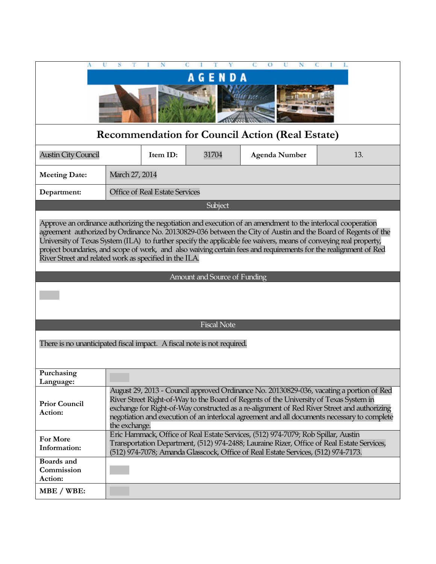|                                                                                                                                                                                                                                                                                                                                                                                                                                                                                                                                  |                                       |          |         | О                                                                                                                                                                                                                                                                    |                                                                                                                                                                                          |
|----------------------------------------------------------------------------------------------------------------------------------------------------------------------------------------------------------------------------------------------------------------------------------------------------------------------------------------------------------------------------------------------------------------------------------------------------------------------------------------------------------------------------------|---------------------------------------|----------|---------|----------------------------------------------------------------------------------------------------------------------------------------------------------------------------------------------------------------------------------------------------------------------|------------------------------------------------------------------------------------------------------------------------------------------------------------------------------------------|
| <b>NDA</b><br>G<br>Е                                                                                                                                                                                                                                                                                                                                                                                                                                                                                                             |                                       |          |         |                                                                                                                                                                                                                                                                      |                                                                                                                                                                                          |
|                                                                                                                                                                                                                                                                                                                                                                                                                                                                                                                                  |                                       |          |         |                                                                                                                                                                                                                                                                      |                                                                                                                                                                                          |
| <b>Recommendation for Council Action (Real Estate)</b>                                                                                                                                                                                                                                                                                                                                                                                                                                                                           |                                       |          |         |                                                                                                                                                                                                                                                                      |                                                                                                                                                                                          |
| <b>Austin City Council</b>                                                                                                                                                                                                                                                                                                                                                                                                                                                                                                       |                                       | Item ID: | 31704   | <b>Agenda Number</b>                                                                                                                                                                                                                                                 | 13.                                                                                                                                                                                      |
| <b>Meeting Date:</b>                                                                                                                                                                                                                                                                                                                                                                                                                                                                                                             | March 27, 2014                        |          |         |                                                                                                                                                                                                                                                                      |                                                                                                                                                                                          |
| Department:                                                                                                                                                                                                                                                                                                                                                                                                                                                                                                                      | <b>Office of Real Estate Services</b> |          |         |                                                                                                                                                                                                                                                                      |                                                                                                                                                                                          |
|                                                                                                                                                                                                                                                                                                                                                                                                                                                                                                                                  |                                       |          | Subject |                                                                                                                                                                                                                                                                      |                                                                                                                                                                                          |
| Approve an ordinance authorizing the negotiation and execution of an amendment to the interlocal cooperation<br>agreement authorized by Ordinance No. 20130829-036 between the City of Austin and the Board of Regents of the<br>University of Texas System (ILA) to further specify the applicable fee waivers, means of conveying real property,<br>project boundaries, and scope of work, and also waiving certain fees and requirements for the realignment of Red<br>River Street and related work as specified in the ILA. |                                       |          |         |                                                                                                                                                                                                                                                                      |                                                                                                                                                                                          |
| Amount and Source of Funding                                                                                                                                                                                                                                                                                                                                                                                                                                                                                                     |                                       |          |         |                                                                                                                                                                                                                                                                      |                                                                                                                                                                                          |
|                                                                                                                                                                                                                                                                                                                                                                                                                                                                                                                                  |                                       |          |         |                                                                                                                                                                                                                                                                      |                                                                                                                                                                                          |
| <b>Fiscal Note</b>                                                                                                                                                                                                                                                                                                                                                                                                                                                                                                               |                                       |          |         |                                                                                                                                                                                                                                                                      |                                                                                                                                                                                          |
| There is no unanticipated fiscal impact. A fiscal note is not required.                                                                                                                                                                                                                                                                                                                                                                                                                                                          |                                       |          |         |                                                                                                                                                                                                                                                                      |                                                                                                                                                                                          |
| Purchasing<br>Language:                                                                                                                                                                                                                                                                                                                                                                                                                                                                                                          |                                       |          |         |                                                                                                                                                                                                                                                                      |                                                                                                                                                                                          |
| <b>Prior Council</b><br>Action:                                                                                                                                                                                                                                                                                                                                                                                                                                                                                                  | the exchange.                         |          |         | River Street Right-of-Way to the Board of Regents of the University of Texas System in<br>exchange for Right-of-Way constructed as a re-alignment of Red River Street and authorizing                                                                                | August 29, 2013 - Council approved Ordinance No. 20130829-036, vacating a portion of Red<br>negotiation and execution of an interlocal agreement and all documents necessary to complete |
| For More<br>Information:                                                                                                                                                                                                                                                                                                                                                                                                                                                                                                         |                                       |          |         | Eric Hammack, Office of Real Estate Services, (512) 974-7079; Rob Spillar, Austin<br>Transportation Department, (512) 974-2488; Lauraine Rizer, Office of Real Estate Services,<br>(512) 974-7078; Amanda Glasscock, Office of Real Estate Services, (512) 974-7173. |                                                                                                                                                                                          |
| Boards and<br>Commission<br>Action:                                                                                                                                                                                                                                                                                                                                                                                                                                                                                              |                                       |          |         |                                                                                                                                                                                                                                                                      |                                                                                                                                                                                          |
| MBE / WBE:                                                                                                                                                                                                                                                                                                                                                                                                                                                                                                                       |                                       |          |         |                                                                                                                                                                                                                                                                      |                                                                                                                                                                                          |